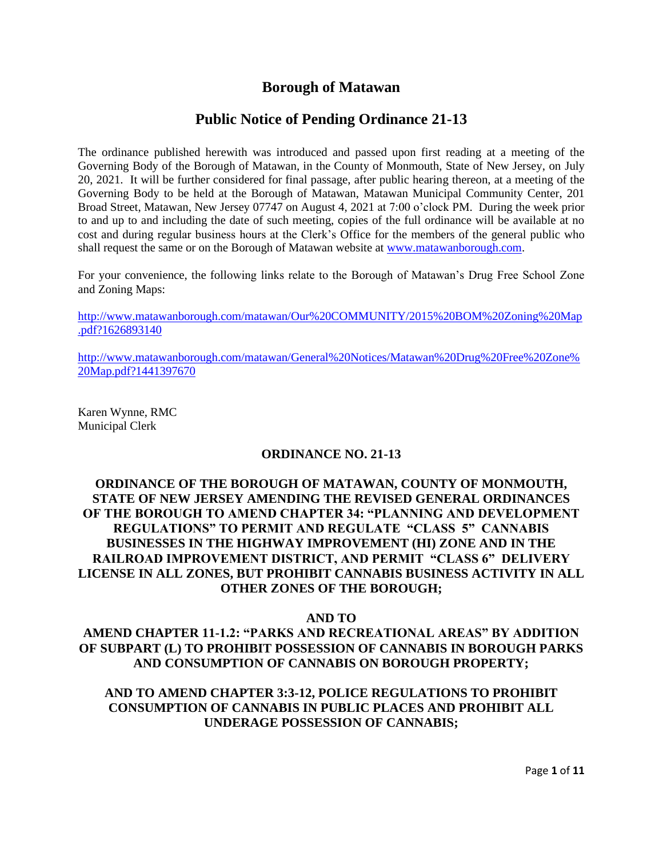## **Borough of Matawan**

## **Public Notice of Pending Ordinance 21-13**

The ordinance published herewith was introduced and passed upon first reading at a meeting of the Governing Body of the Borough of Matawan, in the County of Monmouth, State of New Jersey, on July 20, 2021. It will be further considered for final passage, after public hearing thereon, at a meeting of the Governing Body to be held at the Borough of Matawan, Matawan Municipal Community Center, 201 Broad Street, Matawan, New Jersey 07747 on August 4, 2021 at 7:00 o'clock PM. During the week prior to and up to and including the date of such meeting, copies of the full ordinance will be available at no cost and during regular business hours at the Clerk's Office for the members of the general public who shall request the same or on the Borough of Matawan website at [www.matawanborough.com.](http://www.matawanborough.com/)

For your convenience, the following links relate to the Borough of Matawan's Drug Free School Zone and Zoning Maps:

[http://www.matawanborough.com/matawan/Our%20COMMUNITY/2015%20BOM%20Zoning%20Map](http://www.matawanborough.com/matawan/Our%20COMMUNITY/2015%20BOM%20Zoning%20Map.pdf?1626893140) [.pdf?1626893140](http://www.matawanborough.com/matawan/Our%20COMMUNITY/2015%20BOM%20Zoning%20Map.pdf?1626893140)

[http://www.matawanborough.com/matawan/General%20Notices/Matawan%20Drug%20Free%20Zone%](http://www.matawanborough.com/matawan/General%20Notices/Matawan%20Drug%20Free%20Zone%20Map.pdf?1441397670) [20Map.pdf?1441397670](http://www.matawanborough.com/matawan/General%20Notices/Matawan%20Drug%20Free%20Zone%20Map.pdf?1441397670)

Karen Wynne, RMC Municipal Clerk

#### **ORDINANCE NO. 21-13**

#### **ORDINANCE OF THE BOROUGH OF MATAWAN, COUNTY OF MONMOUTH, STATE OF NEW JERSEY AMENDING THE REVISED GENERAL ORDINANCES OF THE BOROUGH TO AMEND CHAPTER 34: "PLANNING AND DEVELOPMENT REGULATIONS" TO PERMIT AND REGULATE "CLASS 5" CANNABIS BUSINESSES IN THE HIGHWAY IMPROVEMENT (HI) ZONE AND IN THE RAILROAD IMPROVEMENT DISTRICT, AND PERMIT "CLASS 6" DELIVERY LICENSE IN ALL ZONES, BUT PROHIBIT CANNABIS BUSINESS ACTIVITY IN ALL OTHER ZONES OF THE BOROUGH;**

#### **AND TO**

## **AMEND CHAPTER 11-1.2: "PARKS AND RECREATIONAL AREAS" BY ADDITION OF SUBPART (L) TO PROHIBIT POSSESSION OF CANNABIS IN BOROUGH PARKS AND CONSUMPTION OF CANNABIS ON BOROUGH PROPERTY;**

## **AND TO AMEND CHAPTER 3:3-12, POLICE REGULATIONS TO PROHIBIT CONSUMPTION OF CANNABIS IN PUBLIC PLACES AND PROHIBIT ALL UNDERAGE POSSESSION OF CANNABIS;**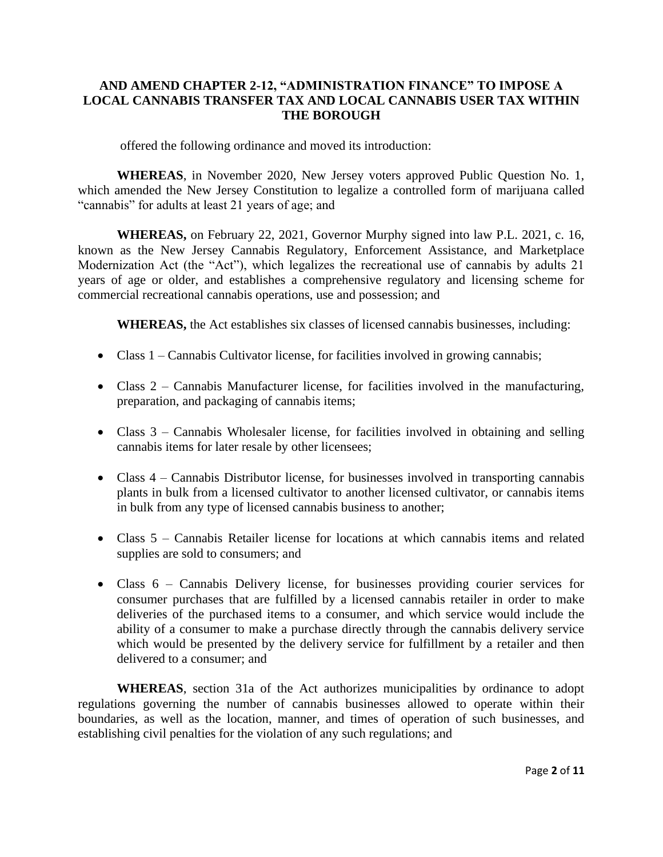#### **AND AMEND CHAPTER 2-12, "ADMINISTRATION FINANCE" TO IMPOSE A LOCAL CANNABIS TRANSFER TAX AND LOCAL CANNABIS USER TAX WITHIN THE BOROUGH**

offered the following ordinance and moved its introduction:

**WHEREAS**, in November 2020, New Jersey voters approved Public Question No. 1, which amended the New Jersey Constitution to legalize a controlled form of marijuana called "cannabis" for adults at least 21 years of age; and

**WHEREAS,** on February 22, 2021, Governor Murphy signed into law P.L. 2021, c. 16, known as the New Jersey Cannabis Regulatory, Enforcement Assistance, and Marketplace Modernization Act (the "Act"), which legalizes the recreational use of cannabis by adults 21 years of age or older, and establishes a comprehensive regulatory and licensing scheme for commercial recreational cannabis operations, use and possession; and

**WHEREAS,** the Act establishes six classes of licensed cannabis businesses, including:

- Class 1 Cannabis Cultivator license, for facilities involved in growing cannabis;
- Class 2 Cannabis Manufacturer license, for facilities involved in the manufacturing, preparation, and packaging of cannabis items;
- Class 3 Cannabis Wholesaler license, for facilities involved in obtaining and selling cannabis items for later resale by other licensees;
- Class 4 Cannabis Distributor license, for businesses involved in transporting cannabis plants in bulk from a licensed cultivator to another licensed cultivator, or cannabis items in bulk from any type of licensed cannabis business to another;
- Class 5 Cannabis Retailer license for locations at which cannabis items and related supplies are sold to consumers; and
- Class 6 Cannabis Delivery license, for businesses providing courier services for consumer purchases that are fulfilled by a licensed cannabis retailer in order to make deliveries of the purchased items to a consumer, and which service would include the ability of a consumer to make a purchase directly through the cannabis delivery service which would be presented by the delivery service for fulfillment by a retailer and then delivered to a consumer; and

**WHEREAS**, section 31a of the Act authorizes municipalities by ordinance to adopt regulations governing the number of cannabis businesses allowed to operate within their boundaries, as well as the location, manner, and times of operation of such businesses, and establishing civil penalties for the violation of any such regulations; and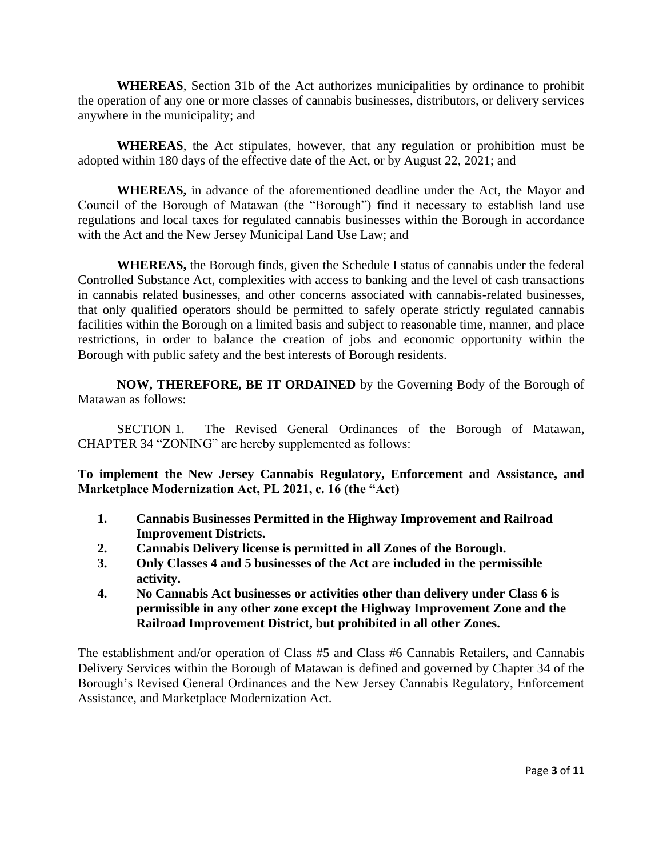**WHEREAS**, Section 31b of the Act authorizes municipalities by ordinance to prohibit the operation of any one or more classes of cannabis businesses, distributors, or delivery services anywhere in the municipality; and

**WHEREAS**, the Act stipulates, however, that any regulation or prohibition must be adopted within 180 days of the effective date of the Act, or by August 22, 2021; and

**WHEREAS,** in advance of the aforementioned deadline under the Act, the Mayor and Council of the Borough of Matawan (the "Borough") find it necessary to establish land use regulations and local taxes for regulated cannabis businesses within the Borough in accordance with the Act and the New Jersey Municipal Land Use Law; and

**WHEREAS,** the Borough finds, given the Schedule I status of cannabis under the federal Controlled Substance Act, complexities with access to banking and the level of cash transactions in cannabis related businesses, and other concerns associated with cannabis-related businesses, that only qualified operators should be permitted to safely operate strictly regulated cannabis facilities within the Borough on a limited basis and subject to reasonable time, manner, and place restrictions, in order to balance the creation of jobs and economic opportunity within the Borough with public safety and the best interests of Borough residents.

**NOW, THEREFORE, BE IT ORDAINED** by the Governing Body of the Borough of Matawan as follows:

SECTION 1. The Revised General Ordinances of the Borough of Matawan, CHAPTER 34 "ZONING" are hereby supplemented as follows:

**To implement the New Jersey Cannabis Regulatory, Enforcement and Assistance, and Marketplace Modernization Act, PL 2021, c. 16 (the "Act)**

- **1. Cannabis Businesses Permitted in the Highway Improvement and Railroad Improvement Districts.**
- **2. Cannabis Delivery license is permitted in all Zones of the Borough.**
- **3. Only Classes 4 and 5 businesses of the Act are included in the permissible activity.**
- **4. No Cannabis Act businesses or activities other than delivery under Class 6 is permissible in any other zone except the Highway Improvement Zone and the Railroad Improvement District, but prohibited in all other Zones.**

The establishment and/or operation of Class #5 and Class #6 Cannabis Retailers, and Cannabis Delivery Services within the Borough of Matawan is defined and governed by Chapter 34 of the Borough's Revised General Ordinances and the New Jersey Cannabis Regulatory, Enforcement Assistance, and Marketplace Modernization Act.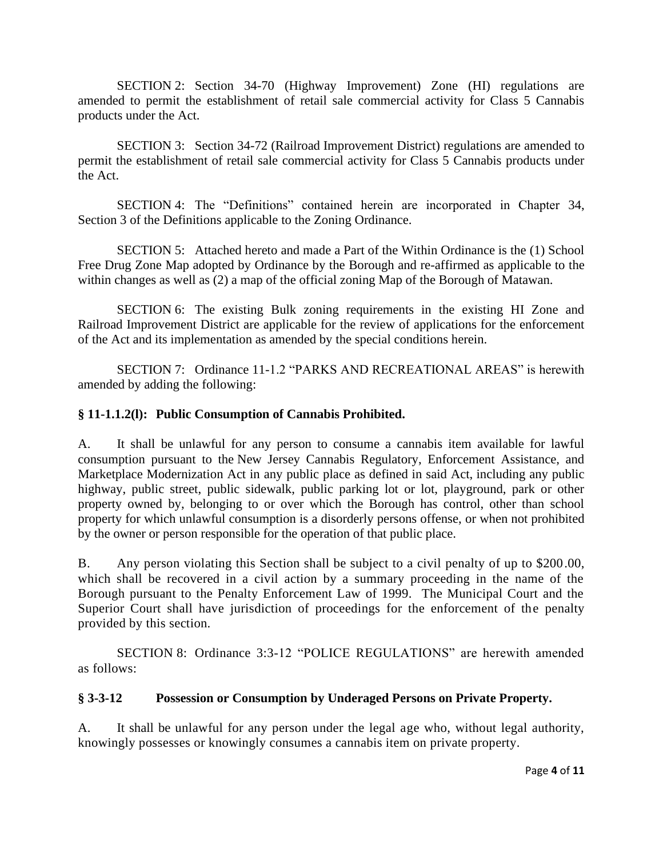SECTION 2: Section 34-70 (Highway Improvement) Zone (HI) regulations are amended to permit the establishment of retail sale commercial activity for Class 5 Cannabis products under the Act.

SECTION 3: Section 34-72 (Railroad Improvement District) regulations are amended to permit the establishment of retail sale commercial activity for Class 5 Cannabis products under the Act.

SECTION 4: The "Definitions" contained herein are incorporated in Chapter 34, Section 3 of the Definitions applicable to the Zoning Ordinance.

SECTION 5: Attached hereto and made a Part of the Within Ordinance is the (1) School Free Drug Zone Map adopted by Ordinance by the Borough and re-affirmed as applicable to the within changes as well as (2) a map of the official zoning Map of the Borough of Matawan.

SECTION 6: The existing Bulk zoning requirements in the existing HI Zone and Railroad Improvement District are applicable for the review of applications for the enforcement of the Act and its implementation as amended by the special conditions herein.

SECTION 7: Ordinance 11-1.2 "PARKS AND RECREATIONAL AREAS" is herewith amended by adding the following:

## **§ 11-1.1.2(l): Public Consumption of Cannabis Prohibited.**

A. It shall be unlawful for any person to consume a cannabis item available for lawful consumption pursuant to the New Jersey Cannabis Regulatory, Enforcement Assistance, and Marketplace Modernization Act in any public place as defined in said Act, including any public highway, public street, public sidewalk, public parking lot or lot, playground, park or other property owned by, belonging to or over which the Borough has control, other than school property for which unlawful consumption is a disorderly persons offense, or when not prohibited by the owner or person responsible for the operation of that public place.

B. Any person violating this Section shall be subject to a civil penalty of up to \$200.00, which shall be recovered in a civil action by a summary proceeding in the name of the Borough pursuant to the Penalty Enforcement Law of 1999. The Municipal Court and the Superior Court shall have jurisdiction of proceedings for the enforcement of the penalty provided by this section.

SECTION 8: Ordinance 3:3-12 "POLICE REGULATIONS" are herewith amended as follows:

## **§ 3-3-12 Possession or Consumption by Underaged Persons on Private Property.**

A. It shall be unlawful for any person under the legal age who, without legal authority, knowingly possesses or knowingly consumes a cannabis item on private property.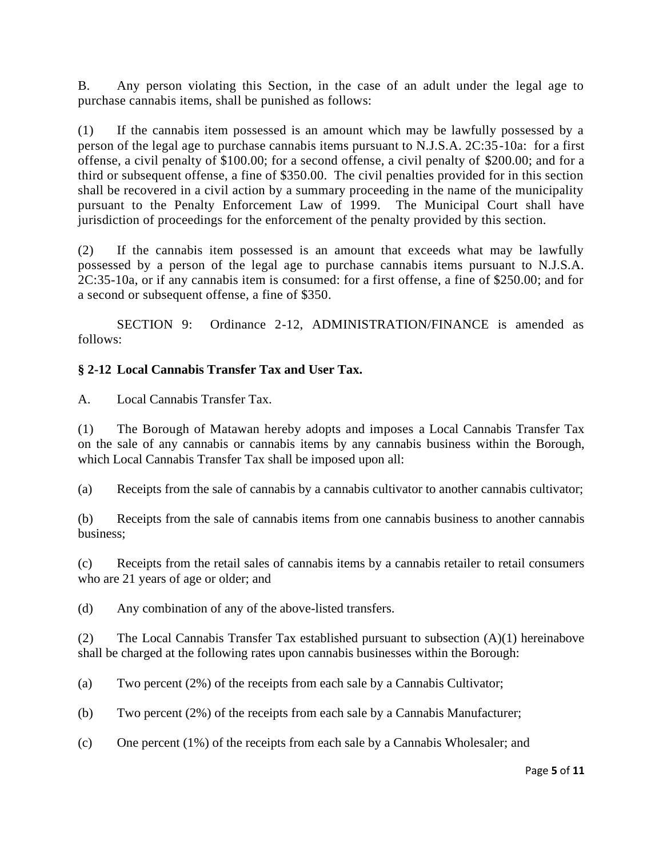B. Any person violating this Section, in the case of an adult under the legal age to purchase cannabis items, shall be punished as follows:

(1) If the cannabis item possessed is an amount which may be lawfully possessed by a person of the legal age to purchase cannabis items pursuant to N.J.S.A. 2C:35-10a: for a first offense, a civil penalty of \$100.00; for a second offense, a civil penalty of \$200.00; and for a third or subsequent offense, a fine of \$350.00. The civil penalties provided for in this section shall be recovered in a civil action by a summary proceeding in the name of the municipality pursuant to the Penalty Enforcement Law of 1999. The Municipal Court shall have jurisdiction of proceedings for the enforcement of the penalty provided by this section.

(2) If the cannabis item possessed is an amount that exceeds what may be lawfully possessed by a person of the legal age to purchase cannabis items pursuant to N.J.S.A. 2C:35-10a, or if any cannabis item is consumed: for a first offense, a fine of \$250.00; and for a second or subsequent offense, a fine of \$350.

SECTION 9: Ordinance 2-12, ADMINISTRATION/FINANCE is amended as follows:

## **§ 2-12 Local Cannabis Transfer Tax and User Tax.**

A. Local Cannabis Transfer Tax.

(1) The Borough of Matawan hereby adopts and imposes a Local Cannabis Transfer Tax on the sale of any cannabis or cannabis items by any cannabis business within the Borough, which Local Cannabis Transfer Tax shall be imposed upon all:

(a) Receipts from the sale of cannabis by a cannabis cultivator to another cannabis cultivator;

(b) Receipts from the sale of cannabis items from one cannabis business to another cannabis business;

(c) Receipts from the retail sales of cannabis items by a cannabis retailer to retail consumers who are 21 years of age or older; and

(d) Any combination of any of the above-listed transfers.

(2) The Local Cannabis Transfer Tax established pursuant to subsection (A)(1) hereinabove shall be charged at the following rates upon cannabis businesses within the Borough:

(a) Two percent (2%) of the receipts from each sale by a Cannabis Cultivator;

(b) Two percent (2%) of the receipts from each sale by a Cannabis Manufacturer;

(c) One percent (1%) of the receipts from each sale by a Cannabis Wholesaler; and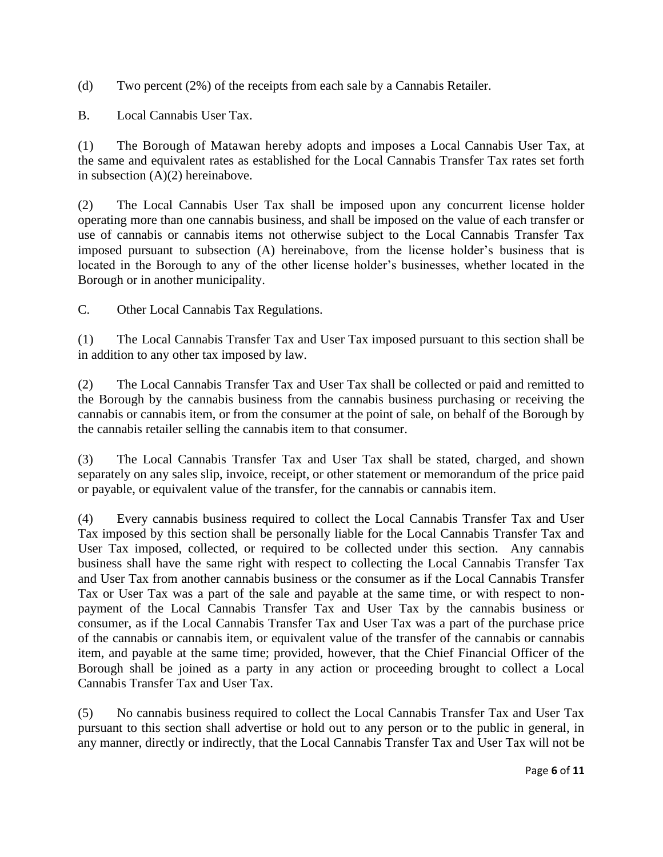(d) Two percent (2%) of the receipts from each sale by a Cannabis Retailer.

B. Local Cannabis User Tax.

(1) The Borough of Matawan hereby adopts and imposes a Local Cannabis User Tax, at the same and equivalent rates as established for the Local Cannabis Transfer Tax rates set forth in subsection (A)(2) hereinabove.

(2) The Local Cannabis User Tax shall be imposed upon any concurrent license holder operating more than one cannabis business, and shall be imposed on the value of each transfer or use of cannabis or cannabis items not otherwise subject to the Local Cannabis Transfer Tax imposed pursuant to subsection (A) hereinabove, from the license holder's business that is located in the Borough to any of the other license holder's businesses, whether located in the Borough or in another municipality.

C. Other Local Cannabis Tax Regulations.

(1) The Local Cannabis Transfer Tax and User Tax imposed pursuant to this section shall be in addition to any other tax imposed by law.

(2) The Local Cannabis Transfer Tax and User Tax shall be collected or paid and remitted to the Borough by the cannabis business from the cannabis business purchasing or receiving the cannabis or cannabis item, or from the consumer at the point of sale, on behalf of the Borough by the cannabis retailer selling the cannabis item to that consumer.

(3) The Local Cannabis Transfer Tax and User Tax shall be stated, charged, and shown separately on any sales slip, invoice, receipt, or other statement or memorandum of the price paid or payable, or equivalent value of the transfer, for the cannabis or cannabis item.

(4) Every cannabis business required to collect the Local Cannabis Transfer Tax and User Tax imposed by this section shall be personally liable for the Local Cannabis Transfer Tax and User Tax imposed, collected, or required to be collected under this section. Any cannabis business shall have the same right with respect to collecting the Local Cannabis Transfer Tax and User Tax from another cannabis business or the consumer as if the Local Cannabis Transfer Tax or User Tax was a part of the sale and payable at the same time, or with respect to nonpayment of the Local Cannabis Transfer Tax and User Tax by the cannabis business or consumer, as if the Local Cannabis Transfer Tax and User Tax was a part of the purchase price of the cannabis or cannabis item, or equivalent value of the transfer of the cannabis or cannabis item, and payable at the same time; provided, however, that the Chief Financial Officer of the Borough shall be joined as a party in any action or proceeding brought to collect a Local Cannabis Transfer Tax and User Tax.

(5) No cannabis business required to collect the Local Cannabis Transfer Tax and User Tax pursuant to this section shall advertise or hold out to any person or to the public in general, in any manner, directly or indirectly, that the Local Cannabis Transfer Tax and User Tax will not be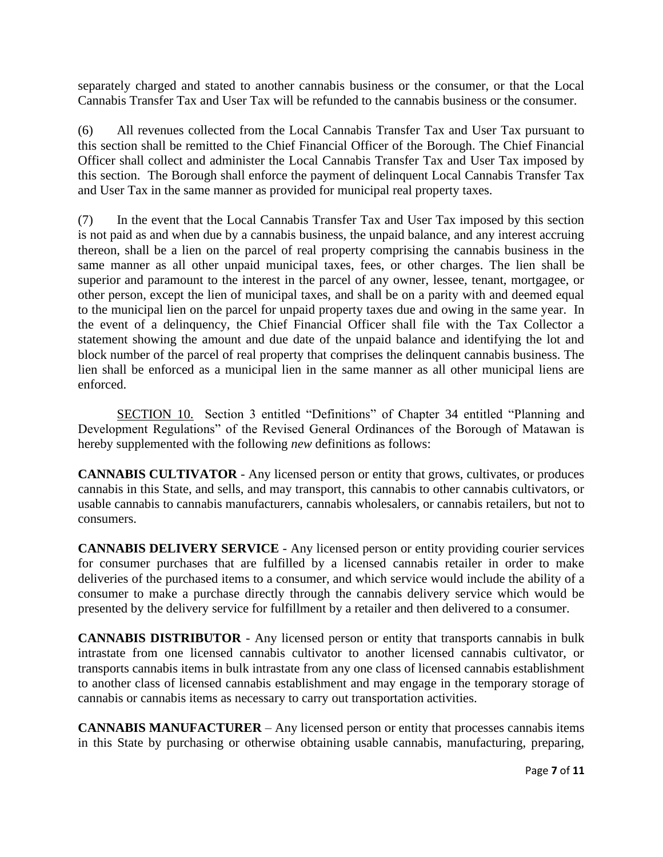separately charged and stated to another cannabis business or the consumer, or that the Local Cannabis Transfer Tax and User Tax will be refunded to the cannabis business or the consumer.

(6) All revenues collected from the Local Cannabis Transfer Tax and User Tax pursuant to this section shall be remitted to the Chief Financial Officer of the Borough. The Chief Financial Officer shall collect and administer the Local Cannabis Transfer Tax and User Tax imposed by this section. The Borough shall enforce the payment of delinquent Local Cannabis Transfer Tax and User Tax in the same manner as provided for municipal real property taxes.

(7) In the event that the Local Cannabis Transfer Tax and User Tax imposed by this section is not paid as and when due by a cannabis business, the unpaid balance, and any interest accruing thereon, shall be a lien on the parcel of real property comprising the cannabis business in the same manner as all other unpaid municipal taxes, fees, or other charges. The lien shall be superior and paramount to the interest in the parcel of any owner, lessee, tenant, mortgagee, or other person, except the lien of municipal taxes, and shall be on a parity with and deemed equal to the municipal lien on the parcel for unpaid property taxes due and owing in the same year. In the event of a delinquency, the Chief Financial Officer shall file with the Tax Collector a statement showing the amount and due date of the unpaid balance and identifying the lot and block number of the parcel of real property that comprises the delinquent cannabis business. The lien shall be enforced as a municipal lien in the same manner as all other municipal liens are enforced.

SECTION 10. Section 3 entitled "Definitions" of Chapter 34 entitled "Planning and Development Regulations" of the Revised General Ordinances of the Borough of Matawan is hereby supplemented with the following *new* definitions as follows:

**CANNABIS CULTIVATOR** - Any licensed person or entity that grows, cultivates, or produces cannabis in this State, and sells, and may transport, this cannabis to other cannabis cultivators, or usable cannabis to cannabis manufacturers, cannabis wholesalers, or cannabis retailers, but not to consumers.

**CANNABIS DELIVERY SERVICE** - Any licensed person or entity providing courier services for consumer purchases that are fulfilled by a licensed cannabis retailer in order to make deliveries of the purchased items to a consumer, and which service would include the ability of a consumer to make a purchase directly through the cannabis delivery service which would be presented by the delivery service for fulfillment by a retailer and then delivered to a consumer.

**CANNABIS DISTRIBUTOR** - Any licensed person or entity that transports cannabis in bulk intrastate from one licensed cannabis cultivator to another licensed cannabis cultivator, or transports cannabis items in bulk intrastate from any one class of licensed cannabis establishment to another class of licensed cannabis establishment and may engage in the temporary storage of cannabis or cannabis items as necessary to carry out transportation activities.

**CANNABIS MANUFACTURER** – Any licensed person or entity that processes cannabis items in this State by purchasing or otherwise obtaining usable cannabis, manufacturing, preparing,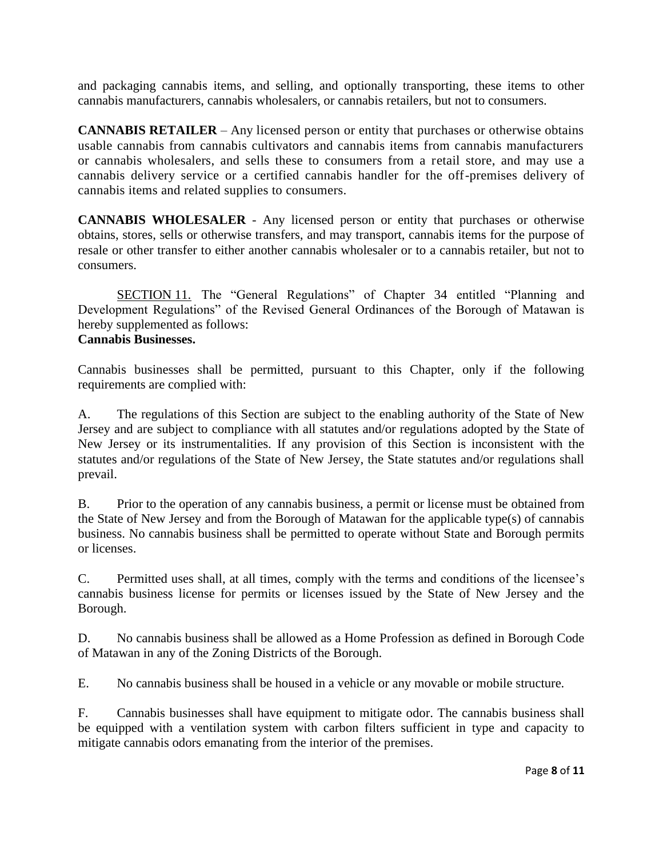and packaging cannabis items, and selling, and optionally transporting, these items to other cannabis manufacturers, cannabis wholesalers, or cannabis retailers, but not to consumers.

**CANNABIS RETAILER** – Any licensed person or entity that purchases or otherwise obtains usable cannabis from cannabis cultivators and cannabis items from cannabis manufacturers or cannabis wholesalers, and sells these to consumers from a retail store, and may use a cannabis delivery service or a certified cannabis handler for the off-premises delivery of cannabis items and related supplies to consumers.

**CANNABIS WHOLESALER** - Any licensed person or entity that purchases or otherwise obtains, stores, sells or otherwise transfers, and may transport, cannabis items for the purpose of resale or other transfer to either another cannabis wholesaler or to a cannabis retailer, but not to consumers.

SECTION 11. The "General Regulations" of Chapter 34 entitled "Planning and Development Regulations" of the Revised General Ordinances of the Borough of Matawan is hereby supplemented as follows:

# **Cannabis Businesses.**

Cannabis businesses shall be permitted, pursuant to this Chapter, only if the following requirements are complied with:

A. The regulations of this Section are subject to the enabling authority of the State of New Jersey and are subject to compliance with all statutes and/or regulations adopted by the State of New Jersey or its instrumentalities. If any provision of this Section is inconsistent with the statutes and/or regulations of the State of New Jersey, the State statutes and/or regulations shall prevail.

B. Prior to the operation of any cannabis business, a permit or license must be obtained from the State of New Jersey and from the Borough of Matawan for the applicable type(s) of cannabis business. No cannabis business shall be permitted to operate without State and Borough permits or licenses.

C. Permitted uses shall, at all times, comply with the terms and conditions of the licensee's cannabis business license for permits or licenses issued by the State of New Jersey and the Borough.

D. No cannabis business shall be allowed as a Home Profession as defined in Borough Code of Matawan in any of the Zoning Districts of the Borough.

E. No cannabis business shall be housed in a vehicle or any movable or mobile structure.

F. Cannabis businesses shall have equipment to mitigate odor. The cannabis business shall be equipped with a ventilation system with carbon filters sufficient in type and capacity to mitigate cannabis odors emanating from the interior of the premises.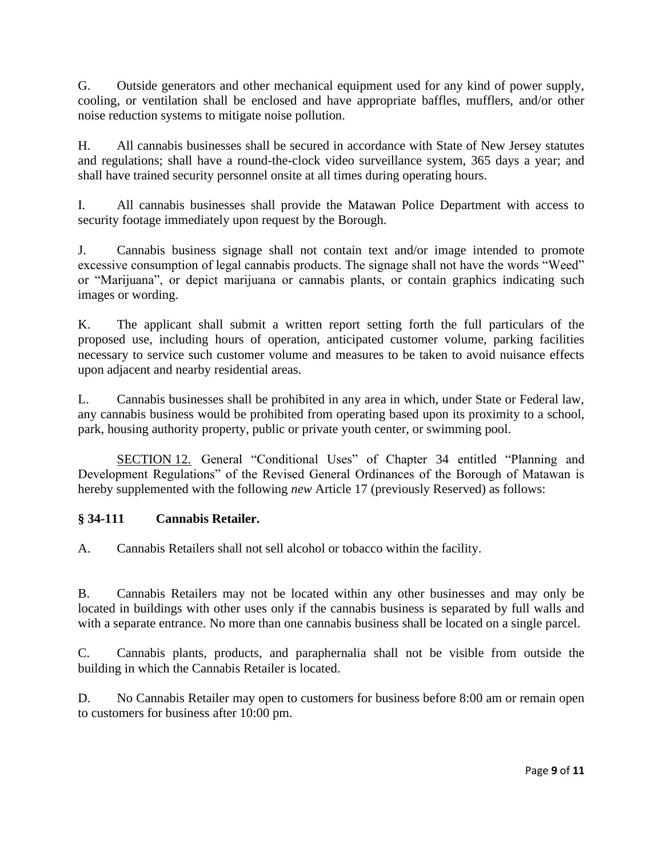G. Outside generators and other mechanical equipment used for any kind of power supply, cooling, or ventilation shall be enclosed and have appropriate baffles, mufflers, and/or other noise reduction systems to mitigate noise pollution.

H. All cannabis businesses shall be secured in accordance with State of New Jersey statutes and regulations; shall have a round-the-clock video surveillance system, 365 days a year; and shall have trained security personnel onsite at all times during operating hours.

I. All cannabis businesses shall provide the Matawan Police Department with access to security footage immediately upon request by the Borough.

J. Cannabis business signage shall not contain text and/or image intended to promote excessive consumption of legal cannabis products. The signage shall not have the words "Weed" or "Marijuana", or depict marijuana or cannabis plants, or contain graphics indicating such images or wording.

K. The applicant shall submit a written report setting forth the full particulars of the proposed use, including hours of operation, anticipated customer volume, parking facilities necessary to service such customer volume and measures to be taken to avoid nuisance effects upon adjacent and nearby residential areas.

L. Cannabis businesses shall be prohibited in any area in which, under State or Federal law, any cannabis business would be prohibited from operating based upon its proximity to a school, park, housing authority property, public or private youth center, or swimming pool.

SECTION 12. General "Conditional Uses" of Chapter 34 entitled "Planning and Development Regulations" of the Revised General Ordinances of the Borough of Matawan is hereby supplemented with the following *new* Article 17 (previously Reserved) as follows:

## **§ 34-111 Cannabis Retailer.**

A. Cannabis Retailers shall not sell alcohol or tobacco within the facility.

B. Cannabis Retailers may not be located within any other businesses and may only be located in buildings with other uses only if the cannabis business is separated by full walls and with a separate entrance. No more than one cannabis business shall be located on a single parcel.

C. Cannabis plants, products, and paraphernalia shall not be visible from outside the building in which the Cannabis Retailer is located.

D. No Cannabis Retailer may open to customers for business before 8:00 am or remain open to customers for business after 10:00 pm.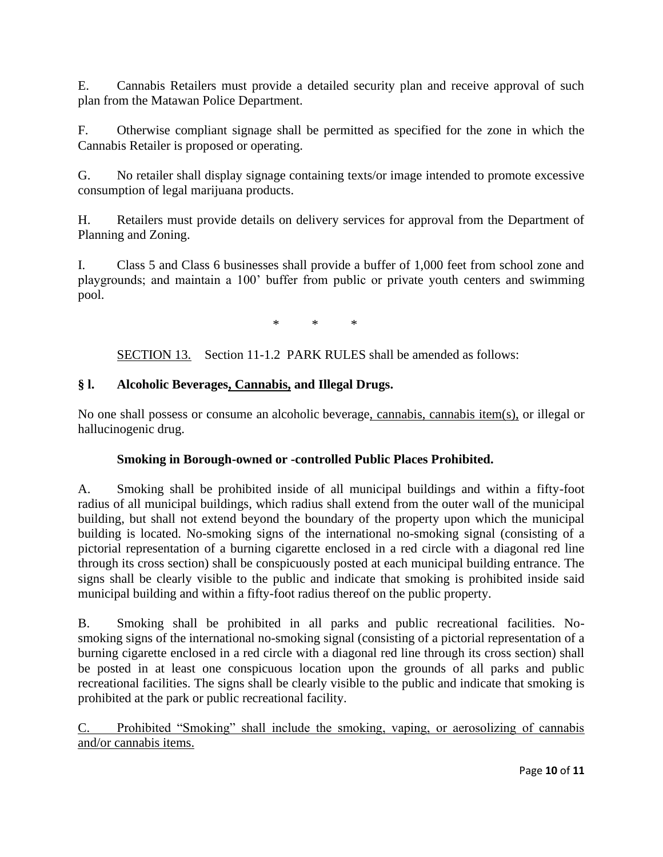E. Cannabis Retailers must provide a detailed security plan and receive approval of such plan from the Matawan Police Department.

F. Otherwise compliant signage shall be permitted as specified for the zone in which the Cannabis Retailer is proposed or operating.

G. No retailer shall display signage containing texts/or image intended to promote excessive consumption of legal marijuana products.

H. Retailers must provide details on delivery services for approval from the Department of Planning and Zoning.

I. Class 5 and Class 6 businesses shall provide a buffer of 1,000 feet from school zone and playgrounds; and maintain a 100' buffer from public or private youth centers and swimming pool.

\* \* \*

SECTION 13. Section 11-1.2 PARK RULES shall be amended as follows:

# **§ l. Alcoholic Beverages, Cannabis, and Illegal Drugs.**

No one shall possess or consume an alcoholic beverage, cannabis, cannabis item(s), or illegal or hallucinogenic drug.

# **Smoking in Borough-owned or -controlled Public Places Prohibited.**

A. Smoking shall be prohibited inside of all municipal buildings and within a fifty-foot radius of all municipal buildings, which radius shall extend from the outer wall of the municipal building, but shall not extend beyond the boundary of the property upon which the municipal building is located. No-smoking signs of the international no-smoking signal (consisting of a pictorial representation of a burning cigarette enclosed in a red circle with a diagonal red line through its cross section) shall be conspicuously posted at each municipal building entrance. The signs shall be clearly visible to the public and indicate that smoking is prohibited inside said municipal building and within a fifty-foot radius thereof on the public property.

B. Smoking shall be prohibited in all parks and public recreational facilities. Nosmoking signs of the international no-smoking signal (consisting of a pictorial representation of a burning cigarette enclosed in a red circle with a diagonal red line through its cross section) shall be posted in at least one conspicuous location upon the grounds of all parks and public recreational facilities. The signs shall be clearly visible to the public and indicate that smoking is prohibited at the park or public recreational facility.

C. Prohibited "Smoking" shall include the smoking, vaping, or aerosolizing of cannabis and/or cannabis items.